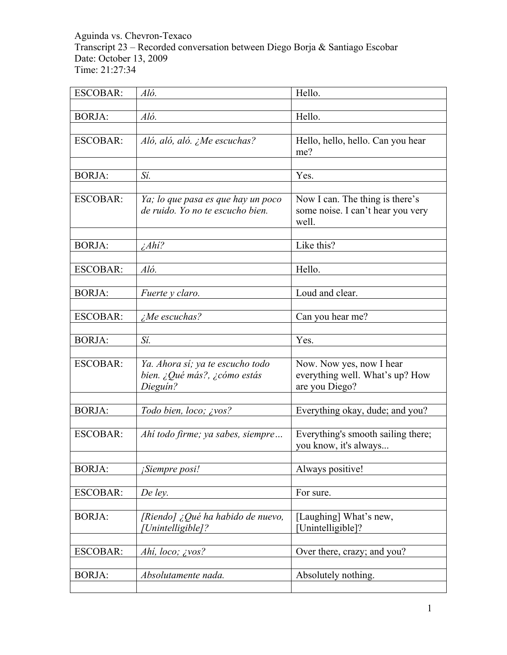Aguinda vs. Chevron-Texaco Transcript 23 – Recorded conversation between Diego Borja & Santiago Escobar Date: October 13, 2009 Time: 21:27:34

| <b>ESCOBAR:</b> | Aló.                               | Hello.                             |
|-----------------|------------------------------------|------------------------------------|
|                 |                                    |                                    |
| <b>BORJA:</b>   | Aló.                               | Hello.                             |
|                 |                                    |                                    |
| <b>ESCOBAR:</b> | Aló, aló, aló. ¿Me escuchas?       | Hello, hello, hello. Can you hear  |
|                 |                                    | me?                                |
|                 |                                    |                                    |
| <b>BORJA:</b>   | Sí.                                | Yes.                               |
|                 |                                    |                                    |
| <b>ESCOBAR:</b> | Ya; lo que pasa es que hay un poco | Now I can. The thing is there's    |
|                 | de ruido. Yo no te escucho bien.   | some noise. I can't hear you very  |
|                 |                                    | well.                              |
|                 |                                    |                                    |
| <b>BORJA:</b>   | $\lambda_A h i$ ?                  | Like this?                         |
|                 |                                    |                                    |
| <b>ESCOBAR:</b> | Aló.                               | Hello.                             |
|                 |                                    |                                    |
| <b>BORJA:</b>   | Fuerte y claro.                    | Loud and clear.                    |
|                 |                                    |                                    |
| <b>ESCOBAR:</b> | $i$ Me escuchas?                   | Can you hear me?                   |
|                 |                                    |                                    |
| <b>BORJA:</b>   | Sí.                                | Yes.                               |
|                 |                                    |                                    |
| <b>ESCOBAR:</b> | Ya. Ahora sí; ya te escucho todo   | Now. Now yes, now I hear           |
|                 | bien. ¿Qué más?, ¿cómo estás       | everything well. What's up? How    |
|                 | Dieguín?                           | are you Diego?                     |
|                 |                                    |                                    |
| <b>BORJA:</b>   | Todo bien, loco; ¿vos?             | Everything okay, dude; and you?    |
|                 |                                    |                                    |
| <b>ESCOBAR:</b> | Ahí todo firme; ya sabes, siempre  | Everything's smooth sailing there; |
|                 |                                    | you know, it's always              |
|                 |                                    |                                    |
| <b>BORJA:</b>   | <i>Siempre posi!</i>               | Always positive!                   |
|                 |                                    |                                    |
| <b>ESCOBAR:</b> | De ley.                            | For sure.                          |
|                 |                                    |                                    |
| <b>BORJA:</b>   | [Riendo] ¿Qué ha habido de nuevo,  | [Laughing] What's new,             |
|                 | [Unintelligible]?                  | [Unintelligible]?                  |
|                 |                                    |                                    |
| <b>ESCOBAR:</b> | Ahi, loco; ¿vos?                   | Over there, crazy; and you?        |
|                 |                                    |                                    |
| <b>BORJA:</b>   | Absolutamente nada.                | Absolutely nothing.                |
|                 |                                    |                                    |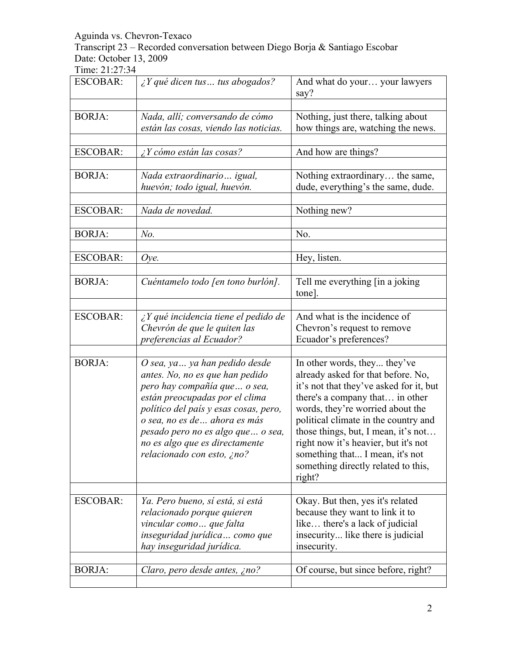Transcript 23 – Recorded conversation between Diego Borja & Santiago Escobar Date: October 13, 2009

| <b>ESCOBAR:</b> | $\lambda$ Y qué dicen tus  tus abogados?                                                                                                                                                                                                                                                                            | And what do your your lawyers<br>say?                                                                                                                                                                                                                                                                                                                                                           |
|-----------------|---------------------------------------------------------------------------------------------------------------------------------------------------------------------------------------------------------------------------------------------------------------------------------------------------------------------|-------------------------------------------------------------------------------------------------------------------------------------------------------------------------------------------------------------------------------------------------------------------------------------------------------------------------------------------------------------------------------------------------|
| <b>BORJA:</b>   | Nada, allí; conversando de cómo<br>están las cosas, viendo las noticias.                                                                                                                                                                                                                                            | Nothing, just there, talking about<br>how things are, watching the news.                                                                                                                                                                                                                                                                                                                        |
| <b>ESCOBAR:</b> | $\lambda$ Y cómo están las cosas?                                                                                                                                                                                                                                                                                   | And how are things?                                                                                                                                                                                                                                                                                                                                                                             |
| <b>BORJA:</b>   | Nada extraordinario igual,<br>huevón; todo igual, huevón.                                                                                                                                                                                                                                                           | Nothing extraordinary the same,<br>dude, everything's the same, dude.                                                                                                                                                                                                                                                                                                                           |
| <b>ESCOBAR:</b> | Nada de novedad.                                                                                                                                                                                                                                                                                                    | Nothing new?                                                                                                                                                                                                                                                                                                                                                                                    |
| <b>BORJA:</b>   | $No$ .                                                                                                                                                                                                                                                                                                              | No.                                                                                                                                                                                                                                                                                                                                                                                             |
| <b>ESCOBAR:</b> | Oye.                                                                                                                                                                                                                                                                                                                | Hey, listen.                                                                                                                                                                                                                                                                                                                                                                                    |
| <b>BORJA:</b>   | Cuéntamelo todo [en tono burlón].                                                                                                                                                                                                                                                                                   | Tell me everything [in a joking]<br>tone].                                                                                                                                                                                                                                                                                                                                                      |
| <b>ESCOBAR:</b> | $\lambda$ Y qué incidencia tiene el pedido de<br>Chevrón de que le quiten las<br>preferencias al Ecuador?                                                                                                                                                                                                           | And what is the incidence of<br>Chevron's request to remove<br>Ecuador's preferences?                                                                                                                                                                                                                                                                                                           |
| <b>BORJA:</b>   | O sea, ya  ya han pedido desde<br>antes. No, no es que han pedido<br>pero hay compañía que  o sea,<br>están preocupadas por el clima<br>político del país y esas cosas, pero,<br>o sea, no es de ahora es más<br>pesado pero no es algo que  o sea,<br>no es algo que es directamente<br>relacionado con esto, ¿no? | In other words, they they've<br>already asked for that before. No,<br>it's not that they've asked for it, but<br>there's a company that in other<br>words, they're worried about the<br>political climate in the country and<br>those things, but, I mean, it's not<br>right now it's heavier, but it's not<br>something that I mean, it's not<br>something directly related to this,<br>right? |
| <b>ESCOBAR:</b> | Ya. Pero bueno, sí está, si está<br>relacionado porque quieren<br>vincular como que falta<br>inseguridad jurídica  como que<br>hay inseguridad jurídica.                                                                                                                                                            | Okay. But then, yes it's related<br>because they want to link it to<br>like there's a lack of judicial<br>insecurity like there is judicial<br>insecurity.                                                                                                                                                                                                                                      |
| <b>BORJA:</b>   | Claro, pero desde antes, ¿no?                                                                                                                                                                                                                                                                                       | Of course, but since before, right?                                                                                                                                                                                                                                                                                                                                                             |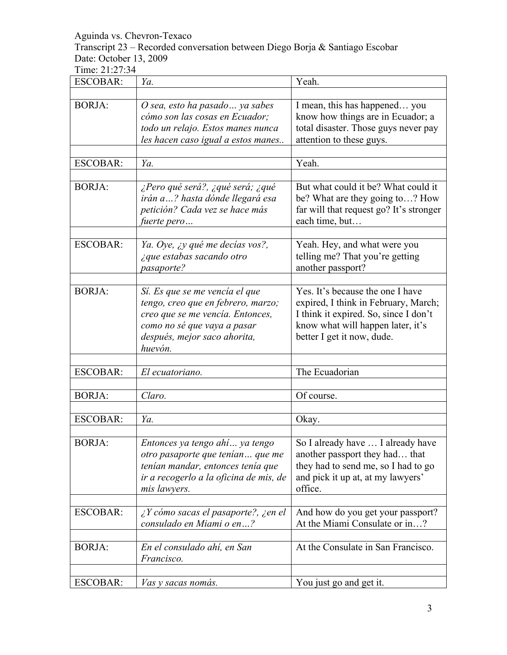Transcript 23 – Recorded conversation between Diego Borja & Santiago Escobar Date: October 13, 2009

| <b>ESCOBAR:</b> | Ya.                                                                                                                                                                                | Yeah.                                                                                                                                                                                |
|-----------------|------------------------------------------------------------------------------------------------------------------------------------------------------------------------------------|--------------------------------------------------------------------------------------------------------------------------------------------------------------------------------------|
|                 |                                                                                                                                                                                    |                                                                                                                                                                                      |
| <b>BORJA:</b>   | O sea, esto ha pasado  ya sabes<br>cómo son las cosas en Ecuador;<br>todo un relajo. Estos manes nunca<br>les hacen caso igual a estos manes                                       | I mean, this has happened you<br>know how things are in Ecuador; a<br>total disaster. Those guys never pay<br>attention to these guys.                                               |
|                 |                                                                                                                                                                                    |                                                                                                                                                                                      |
| <b>ESCOBAR:</b> | Ya.                                                                                                                                                                                | Yeah.                                                                                                                                                                                |
| <b>BORJA:</b>   | ¿Pero qué será?, ¿qué será; ¿qué<br>irán a? hasta dónde llegará esa<br>petición? Cada vez se hace más<br>fuerte pero                                                               | But what could it be? What could it<br>be? What are they going to? How<br>far will that request go? It's stronger<br>each time, but                                                  |
| <b>ESCOBAR:</b> | Ya. Oye, ¿y qué me decías vos?,<br>¿que estabas sacando otro<br>pasaporte?                                                                                                         | Yeah. Hey, and what were you<br>telling me? That you're getting<br>another passport?                                                                                                 |
| <b>BORJA:</b>   | Sí. Es que se me vencía el que<br>tengo, creo que en febrero, marzo;<br>creo que se me vencía. Entonces,<br>como no sé que vaya a pasar<br>después, mejor saco ahorita,<br>huevón. | Yes. It's because the one I have<br>expired, I think in February, March;<br>I think it expired. So, since I don't<br>know what will happen later, it's<br>better I get it now, dude. |
|                 |                                                                                                                                                                                    |                                                                                                                                                                                      |
| <b>ESCOBAR:</b> | El ecuatoriano.                                                                                                                                                                    | The Ecuadorian                                                                                                                                                                       |
|                 |                                                                                                                                                                                    |                                                                                                                                                                                      |
| <b>BORJA:</b>   | Claro.                                                                                                                                                                             | Of course.                                                                                                                                                                           |
|                 |                                                                                                                                                                                    |                                                                                                                                                                                      |
| <b>ESCOBAR:</b> | Ya.                                                                                                                                                                                | Okay.                                                                                                                                                                                |
| <b>BORJA:</b>   | Entonces ya tengo ahí ya tengo<br>otro pasaporte que tenían que me<br>tenían mandar, entonces tenía que<br>ir a recogerlo a la oficina de mis, de<br>mis lawyers.                  | So I already have  I already have<br>another passport they had that<br>they had to send me, so I had to go<br>and pick it up at, at my lawyers'<br>office.                           |
| <b>ESCOBAR:</b> | $\chi$ Y cómo sacas el pasaporte?, $\chi$ en el<br>consulado en Miami o en?                                                                                                        | And how do you get your passport?<br>At the Miami Consulate or in?                                                                                                                   |
| <b>BORJA:</b>   | En el consulado ahí, en San<br>Francisco.                                                                                                                                          | At the Consulate in San Francisco.                                                                                                                                                   |
| <b>ESCOBAR:</b> | <i>Vas y sacas nomás.</i>                                                                                                                                                          | You just go and get it.                                                                                                                                                              |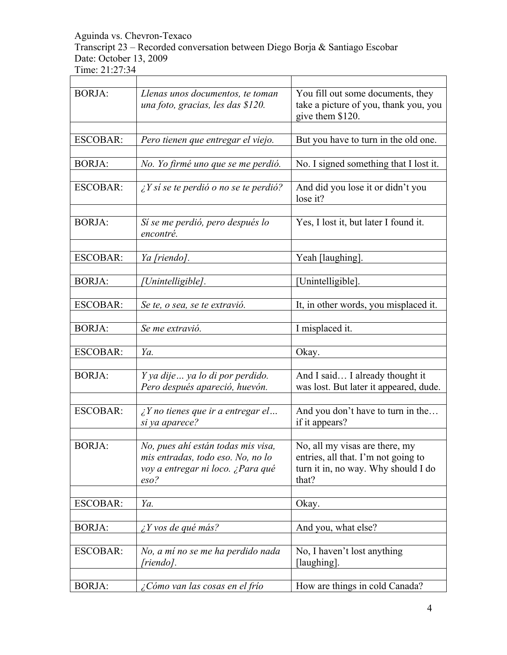Transcript 23 – Recorded conversation between Diego Borja & Santiago Escobar Date: October 13, 2009

| <b>BORJA:</b>   | Llenas unos documentos, te toman<br>una foto, gracias, les das \$120.                                                           | You fill out some documents, they<br>take a picture of you, thank you, you<br>give them \$120.                        |
|-----------------|---------------------------------------------------------------------------------------------------------------------------------|-----------------------------------------------------------------------------------------------------------------------|
| <b>ESCOBAR:</b> | Pero tienen que entregar el viejo.                                                                                              | But you have to turn in the old one.                                                                                  |
| <b>BORJA:</b>   | No. Yo firmé uno que se me perdió.                                                                                              | No. I signed something that I lost it.                                                                                |
| <b>ESCOBAR:</b> | $\angle Y$ sí se te perdió o no se te perdió?                                                                                   | And did you lose it or didn't you<br>lose it?                                                                         |
| <b>BORJA:</b>   | Si se me perdió, pero después lo<br>encontré.                                                                                   | Yes, I lost it, but later I found it.                                                                                 |
| <b>ESCOBAR:</b> | Ya [riendo].                                                                                                                    | Yeah [laughing].                                                                                                      |
| <b>BORJA:</b>   | Unintelligible].                                                                                                                | [Unintelligible].                                                                                                     |
| <b>ESCOBAR:</b> | Se te, o sea, se te extravió.                                                                                                   | It, in other words, you misplaced it.                                                                                 |
| <b>BORJA:</b>   | Se me extravió.                                                                                                                 | I misplaced it.                                                                                                       |
| <b>ESCOBAR:</b> | Ya.                                                                                                                             | Okay.                                                                                                                 |
| <b>BORJA:</b>   | Y ya dije ya lo di por perdido.<br>Pero después apareció, huevón.                                                               | And I said I already thought it<br>was lost. But later it appeared, dude.                                             |
| <b>ESCOBAR:</b> | $\zeta$ Y no tienes que ir a entregar el<br>si ya aparece?                                                                      | And you don't have to turn in the<br>if it appears?                                                                   |
| <b>BORJA:</b>   | No, pues ahí están todas mis visa,<br>mis entradas, todo eso. No, no lo<br>voy a entregar ni loco. ¿Para qué<br>$\mathit{eso?}$ | No, all my visas are there, my<br>entries, all that. I'm not going to<br>turn it in, no way. Why should I do<br>that? |
| <b>ESCOBAR:</b> | Ya.                                                                                                                             | Okay.                                                                                                                 |
| <b>BORJA:</b>   | $\lambda$ Y vos de qué más?                                                                                                     | And you, what else?                                                                                                   |
| <b>ESCOBAR:</b> | No, a mí no se me ha perdido nada<br>[riendo].                                                                                  | No, I haven't lost anything<br>[laughing].                                                                            |
| <b>BORJA:</b>   | ¿Cómo van las cosas en el frío                                                                                                  | How are things in cold Canada?                                                                                        |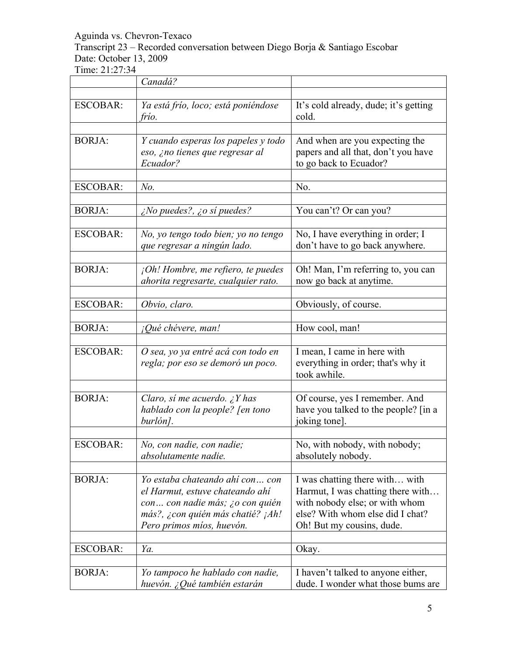Transcript 23 – Recorded conversation between Diego Borja & Santiago Escobar Date: October 13, 2009

|                 | Canadá?                                                                                                                                                                 |                                                                                                                                                                        |
|-----------------|-------------------------------------------------------------------------------------------------------------------------------------------------------------------------|------------------------------------------------------------------------------------------------------------------------------------------------------------------------|
|                 |                                                                                                                                                                         |                                                                                                                                                                        |
| <b>ESCOBAR:</b> | Ya está frío, loco; está poniéndose<br>frío.                                                                                                                            | It's cold already, dude; it's getting<br>cold.                                                                                                                         |
|                 |                                                                                                                                                                         |                                                                                                                                                                        |
| <b>BORJA:</b>   | Y cuando esperas los papeles y todo<br>eso, ¿no tienes que regresar al<br>Ecuador?                                                                                      | And when are you expecting the<br>papers and all that, don't you have<br>to go back to Ecuador?                                                                        |
| <b>ESCOBAR:</b> | $No$ .                                                                                                                                                                  | No.                                                                                                                                                                    |
|                 |                                                                                                                                                                         |                                                                                                                                                                        |
| <b>BORJA:</b>   | $\zeta$ No puedes?, $\zeta$ o sí puedes?                                                                                                                                | You can't? Or can you?                                                                                                                                                 |
| <b>ESCOBAR:</b> | No, yo tengo todo bien; yo no tengo<br>que regresar a ningún lado.                                                                                                      | No, I have everything in order; I<br>don't have to go back anywhere.                                                                                                   |
| <b>BORJA:</b>   | ¡Oh! Hombre, me refiero, te puedes<br>ahorita regresarte, cualquier rato.                                                                                               | Oh! Man, I'm referring to, you can<br>now go back at anytime.                                                                                                          |
| <b>ESCOBAR:</b> | Obvio, claro.                                                                                                                                                           | Obviously, of course.                                                                                                                                                  |
| <b>BORJA:</b>   | <i>¡Qué chévere, man!</i>                                                                                                                                               | How cool, man!                                                                                                                                                         |
| <b>ESCOBAR:</b> | O sea, yo ya entré acá con todo en<br>regla; por eso se demoró un poco.                                                                                                 | I mean, I came in here with<br>everything in order; that's why it<br>took awhile.                                                                                      |
|                 |                                                                                                                                                                         |                                                                                                                                                                        |
| <b>BORJA:</b>   | Claro, sí me acuerdo. ¿Y has<br>hablado con la people? [en tono<br>burlón].                                                                                             | Of course, yes I remember. And<br>have you talked to the people? [in a<br>joking tone].                                                                                |
| $ESCOBAR+$      | No, con nadie, con nadie;<br>absolutamente nadie.                                                                                                                       | No, with nobody, with nobody;<br>absolutely nobody.                                                                                                                    |
| <b>BORJA:</b>   | Yo estaba chateando ahí con con<br>el Harmut, estuve chateando ahí<br>con con nadie más; ¿o con quién<br>más?, ¿con quién más chatié? ¡Ah!<br>Pero primos míos, huevón. | I was chatting there with with<br>Harmut, I was chatting there with<br>with nobody else; or with whom<br>else? With whom else did I chat?<br>Oh! But my cousins, dude. |
| <b>ESCOBAR:</b> | Ya.                                                                                                                                                                     | Okay.                                                                                                                                                                  |
| <b>BORJA:</b>   | Yo tampoco he hablado con nadie,<br>huevón. ¿Qué también estarán                                                                                                        | I haven't talked to anyone either,<br>dude. I wonder what those bums are                                                                                               |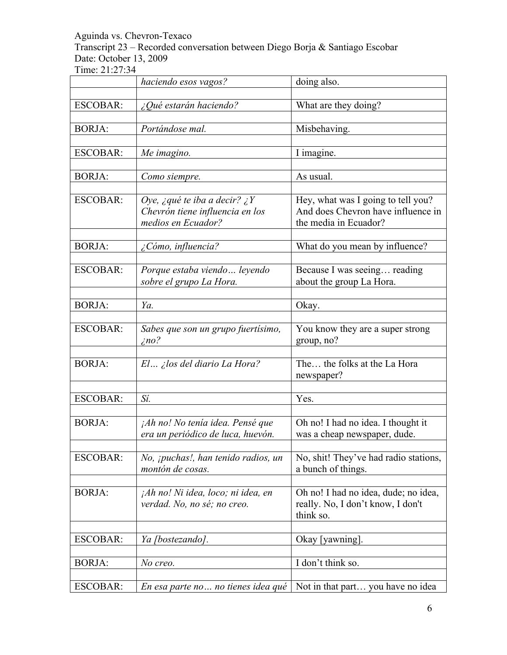Transcript 23 – Recorded conversation between Diego Borja & Santiago Escobar Date: October 13, 2009

|                 | haciendo esos vagos?                                                                  | doing also.                                                                                       |
|-----------------|---------------------------------------------------------------------------------------|---------------------------------------------------------------------------------------------------|
| <b>ESCOBAR:</b> | ¿Qué estarán haciendo?                                                                | What are they doing?                                                                              |
| <b>BORJA:</b>   | Portándose mal.                                                                       | Misbehaving.                                                                                      |
| <b>ESCOBAR:</b> | Me imagino.                                                                           | I imagine.                                                                                        |
| <b>BORJA:</b>   | Como siempre.                                                                         | As usual.                                                                                         |
| <b>ESCOBAR:</b> | Oye, ¿qué te iba a decir? ¿Y<br>Chevrón tiene influencia en los<br>medios en Ecuador? | Hey, what was I going to tell you?<br>And does Chevron have influence in<br>the media in Ecuador? |
| <b>BORJA:</b>   | ¿Cómo, influencia?                                                                    | What do you mean by influence?                                                                    |
| <b>ESCOBAR:</b> | Porque estaba viendo  leyendo<br>sobre el grupo La Hora.                              | Because I was seeing reading<br>about the group La Hora.                                          |
| <b>BORJA:</b>   | Ya.                                                                                   | Okay.                                                                                             |
| <b>ESCOBAR:</b> | Sabes que son un grupo fuertísimo,<br>$\zeta$ no?                                     | You know they are a super strong<br>group, no?                                                    |
| <b>BORJA:</b>   | $El$ <i>ilos del diario La Hora?</i>                                                  | The the folks at the La Hora<br>newspaper?                                                        |
| <b>ESCOBAR:</b> | Sí.                                                                                   | Yes.                                                                                              |
| <b>BORJA:</b>   | ¡Ah no! No tenía idea. Pensé que<br>era un periódico de luca, huevón.                 | Oh no! I had no idea. I thought it<br>was a cheap newspaper, dude.                                |
| <b>ESCOBAR:</b> | No, <i>ipuchas!</i> , han tenido radios, un<br>montón de cosas.                       | No, shit! They've had radio stations,<br>a bunch of things.                                       |
| <b>BORJA:</b>   | jAh no! Ni idea, loco; ni idea, en<br>verdad. No, no sé; no creo.                     | Oh no! I had no idea, dude; no idea,<br>really. No, I don't know, I don't<br>think so.            |
| <b>ESCOBAR:</b> | Ya [bostezando].                                                                      | Okay [yawning].                                                                                   |
| <b>BORJA:</b>   | No creo.                                                                              | I don't think so.                                                                                 |
| <b>ESCOBAR:</b> | En esa parte no  no tienes idea qué                                                   | Not in that part you have no idea                                                                 |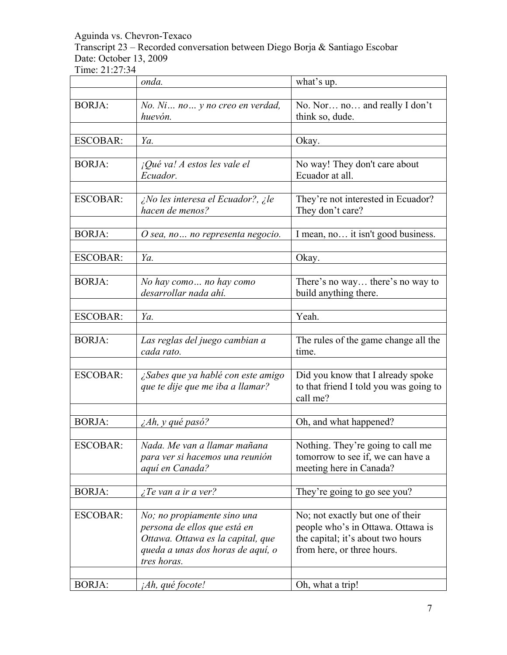Transcript 23 – Recorded conversation between Diego Borja & Santiago Escobar Date: October 13, 2009

|                 | onda.                                        | what's up.                                    |
|-----------------|----------------------------------------------|-----------------------------------------------|
|                 |                                              |                                               |
| <b>BORJA:</b>   | No. Ni no y no creo en verdad,               | No. Nor no and really I don't                 |
|                 | huevón.                                      | think so, dude.                               |
|                 |                                              |                                               |
| <b>ESCOBAR:</b> | Ya.                                          | Okay.                                         |
|                 |                                              |                                               |
| <b>BORJA:</b>   | <i>iQué va! A estos les vale el</i>          | No way! They don't care about                 |
|                 | Ecuador.                                     | Ecuador at all.                               |
|                 |                                              |                                               |
| <b>ESCOBAR:</b> | ¿No les interesa el Ecuador?, ¿le            | They're not interested in Ecuador?            |
|                 | hacen de menos?                              | They don't care?                              |
|                 |                                              |                                               |
| <b>BORJA:</b>   | O sea, no  no representa negocio.            | I mean, no it isn't good business.            |
|                 |                                              |                                               |
| <b>ESCOBAR:</b> | Ya.                                          | Okay.                                         |
|                 |                                              |                                               |
| <b>BORJA:</b>   | No hay como no hay como                      | There's no way there's no way to              |
|                 | desarrollar nada ahí.                        | build anything there.                         |
|                 |                                              |                                               |
| <b>ESCOBAR:</b> | Ya.                                          | Yeah.                                         |
| <b>BORJA:</b>   |                                              |                                               |
|                 | Las reglas del juego cambian a<br>cada rato. | The rules of the game change all the<br>time. |
|                 |                                              |                                               |
| <b>ESCOBAR:</b> | ¿Sabes que ya hablé con este amigo           | Did you know that I already spoke             |
|                 | que te dije que me iba a llamar?             | to that friend I told you was going to        |
|                 |                                              | call me?                                      |
|                 |                                              |                                               |
| <b>BORJA:</b>   | ¿Ah, y qué pasó?                             | Oh, and what happened?                        |
|                 |                                              |                                               |
| <b>ESCOBAR:</b> | Nada. Me van a llamar mañana                 | Nothing. They're going to call me             |
|                 | para ver si hacemos una reunión              | tomorrow to see if, we can have a             |
|                 | aquí en Canada?                              | meeting here in Canada?                       |
|                 |                                              |                                               |
| <b>BORJA:</b>   | <i>i</i> Te van a ir a ver?                  | They're going to go see you?                  |
|                 |                                              |                                               |
| <b>ESCOBAR:</b> | No; no propiamente sino una                  | No; not exactly but one of their              |
|                 | persona de ellos que está en                 | people who's in Ottawa. Ottawa is             |
|                 | Ottawa. Ottawa es la capital, que            | the capital; it's about two hours             |
|                 | queda a unas dos horas de aquí, o            | from here, or three hours.                    |
|                 | tres horas.                                  |                                               |
|                 |                                              |                                               |
| <b>BORJA:</b>   | <i>Ah, qué focote!</i>                       | Oh, what a trip!                              |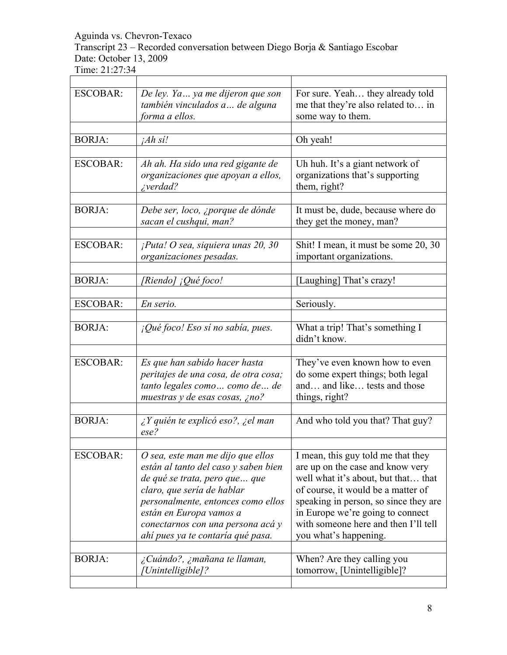Transcript 23 – Recorded conversation between Diego Borja & Santiago Escobar Date: October 13, 2009

 $\overline{1}$ 

| <b>ESCOBAR:</b> | De ley. Ya  ya me dijeron que son<br>también vinculados a de alguna<br>forma a ellos.                                                                                                                                                                                                | For sure. Yeah they already told<br>me that they're also related to in<br>some way to them.                                                                                                                                                                                                       |
|-----------------|--------------------------------------------------------------------------------------------------------------------------------------------------------------------------------------------------------------------------------------------------------------------------------------|---------------------------------------------------------------------------------------------------------------------------------------------------------------------------------------------------------------------------------------------------------------------------------------------------|
|                 |                                                                                                                                                                                                                                                                                      |                                                                                                                                                                                                                                                                                                   |
| <b>BORJA:</b>   | $iAh \, s'i!$                                                                                                                                                                                                                                                                        | Oh yeah!                                                                                                                                                                                                                                                                                          |
|                 |                                                                                                                                                                                                                                                                                      |                                                                                                                                                                                                                                                                                                   |
| <b>ESCOBAR:</b> | Ah ah. Ha sido una red gigante de<br>organizaciones que apoyan a ellos,<br><i>i</i> verdad?                                                                                                                                                                                          | Uh huh. It's a giant network of<br>organizations that's supporting<br>them, right?                                                                                                                                                                                                                |
| <b>BORJA:</b>   | Debe ser, loco, ¿porque de dónde<br>sacan el cushqui, man?                                                                                                                                                                                                                           | It must be, dude, because where do<br>they get the money, man?                                                                                                                                                                                                                                    |
| <b>ESCOBAR:</b> | $i$ Puta! O sea, siquiera unas 20, 30<br>organizaciones pesadas.                                                                                                                                                                                                                     | Shit! I mean, it must be some 20, 30<br>important organizations.                                                                                                                                                                                                                                  |
| <b>BORJA:</b>   | [Riendo] ¡Qué foco!                                                                                                                                                                                                                                                                  | [Laughing] That's crazy!                                                                                                                                                                                                                                                                          |
|                 |                                                                                                                                                                                                                                                                                      |                                                                                                                                                                                                                                                                                                   |
|                 |                                                                                                                                                                                                                                                                                      |                                                                                                                                                                                                                                                                                                   |
| <b>ESCOBAR:</b> | En serio.                                                                                                                                                                                                                                                                            | Seriously.                                                                                                                                                                                                                                                                                        |
| <b>BORJA:</b>   | $i$ Qué foco! Eso sí no sabía, pues.                                                                                                                                                                                                                                                 | What a trip! That's something I<br>didn't know.                                                                                                                                                                                                                                                   |
|                 |                                                                                                                                                                                                                                                                                      |                                                                                                                                                                                                                                                                                                   |
| <b>ESCOBAR:</b> | Es que han sabido hacer hasta<br>peritajes de una cosa, de otra cosa;<br>tanto legales como  como de  de<br>muestras y de esas cosas, ¿no?                                                                                                                                           | They've even known how to even<br>do some expert things; both legal<br>and and like tests and those<br>things, right?                                                                                                                                                                             |
| <b>BORJA:</b>   | $\lambda$ Y quién te explicó eso?, $\lambda$ el man<br>$\textit{ese?}$                                                                                                                                                                                                               | And who told you that? That guy?                                                                                                                                                                                                                                                                  |
| <b>ESCOBAR:</b> | O sea, este man me dijo que ellos<br>están al tanto del caso y saben bien<br>de qué se trata, pero que  que<br>claro, que sería de hablar<br>personalmente, entonces como ellos<br>están en Europa vamos a<br>conectarnos con una persona acá y<br>ahí pues ya te contaría qué pasa. | I mean, this guy told me that they<br>are up on the case and know very<br>well what it's about, but that that<br>of course, it would be a matter of<br>speaking in person, so since they are<br>in Europe we're going to connect<br>with someone here and then I'll tell<br>you what's happening. |
| <b>BORJA:</b>   | ¿Cuándo?, ¿mañana te llaman,<br>Unintelligible]?                                                                                                                                                                                                                                     | When? Are they calling you<br>tomorrow, [Unintelligible]?                                                                                                                                                                                                                                         |